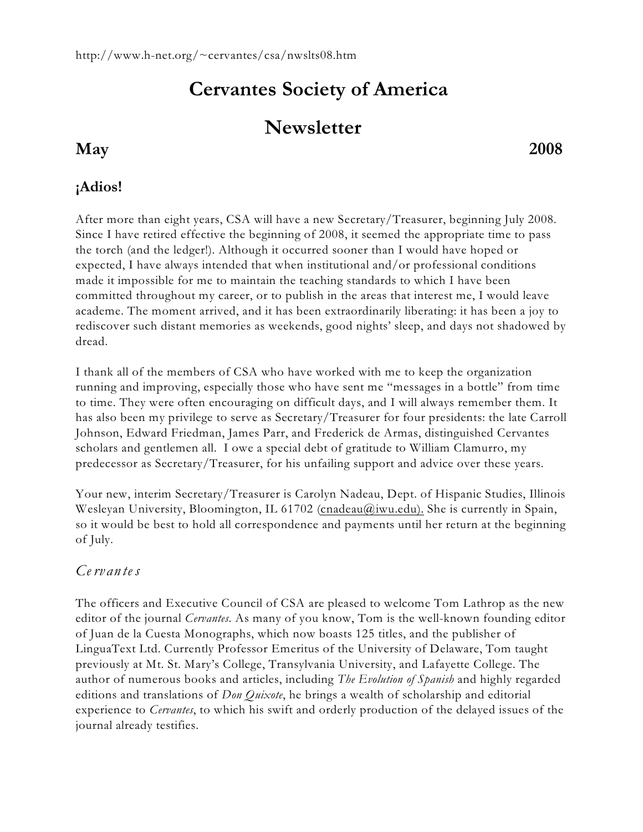# **Cervantes Society of America**

## **Newsletter**

### **May 2008**

#### **¡Adios!**

After more than eight years, CSA will have a new Secretary/Treasurer, beginning July 2008. Since I have retired effective the beginning of 2008, it seemed the appropriate time to pass the torch (and the ledger!). Although it occurred sooner than I would have hoped or expected, I have always intended that when institutional and/or professional conditions made it impossible for me to maintain the teaching standards to which I have been committed throughout my career, or to publish in the areas that interest me, I would leave academe. The moment arrived, and it has been extraordinarily liberating: it has been a joy to rediscover such distant memories as weekends, good nights' sleep, and days not shadowed by dread.

I thank all of the members of CSA who have worked with me to keep the organization running and improving, especially those who have sent me "messages in a bottle" from time to time. They were often encouraging on difficult days, and I will always remember them. It has also been my privilege to serve as Secretary/Treasurer for four presidents: the late Carroll Johnson, Edward Friedman, James Parr, and Frederick de Armas, distinguished Cervantes scholars and gentlemen all. I owe a special debt of gratitude to William Clamurro, my predecessor as Secretary/Treasurer, for his unfailing support and advice over these years.

Your new, interim Secretary/Treasurer is Carolyn Nadeau, Dept. of Hispanic Studies, Illinois Wesleyan University, Bloomington, IL 61702 [\(cnadeau@iwu.edu\).](mailto:cnadeau@iwu.edu).) She is currently in Spain, so it would be best to hold all correspondence and payments until her return at the beginning of July.

#### *Ce rv an te s*

The officers and Executive Council of CSA are pleased to welcome Tom Lathrop as the new editor of the journal *Cervantes*. As many of you know, Tom is the well-known founding editor of Juan de la Cuesta Monographs, which now boasts 125 titles, and the publisher of LinguaText Ltd. Currently Professor Emeritus of the University of Delaware, Tom taught previously at Mt. St. Mary's College, Transylvania University, and Lafayette College. The author of numerous books and articles, including *The Evolution of Spanish* and highly regarded editions and translations of *Don Quixote*, he brings a wealth of scholarship and editorial experience to *Cervantes*, to which his swift and orderly production of the delayed issues of the journal already testifies.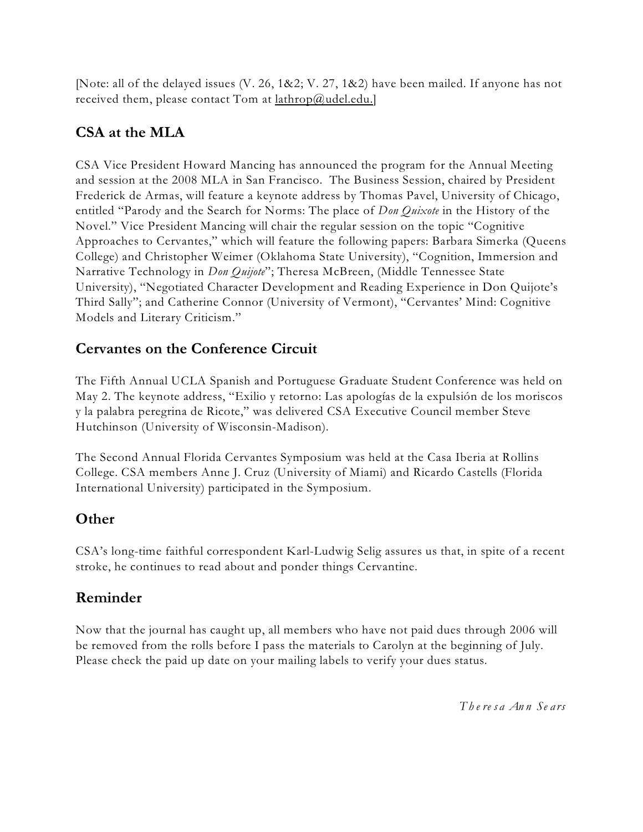[Note: all of the delayed issues (V. 26, 1&2; V. 27, 1&2) have been mailed. If anyone has not received them, please contact Tom at [lathrop@udel.edu.](mailto:lathrop@udel.edu.)]

#### **CSA at the MLA**

CSA Vice President Howard Mancing has announced the program for the Annual Meeting and session at the 2008 MLA in San Francisco. The Business Session, chaired by President Frederick de Armas, will feature a keynote address by Thomas Pavel, University of Chicago, entitled "Parody and the Search for Norms: The place of *Don Quixote* in the History of the Novel." Vice President Mancing will chair the regular session on the topic "Cognitive Approaches to Cervantes," which will feature the following papers: Barbara Simerka (Queens College) and Christopher Weimer (Oklahoma State University), "Cognition, Immersion and Narrative Technology in *Don Quijote*"; Theresa McBreen, (Middle Tennessee State University), "Negotiated Character Development and Reading Experience in Don Quijote's Third Sally"; and Catherine Connor (University of Vermont), "Cervantes' Mind: Cognitive Models and Literary Criticism."

#### **Cervantes on the Conference Circuit**

The Fifth Annual UCLA Spanish and Portuguese Graduate Student Conference was held on May 2. The keynote address, "Exilio y retorno: Las apologías de la expulsión de los moriscos y la palabra peregrina de Ricote," was delivered CSA Executive Council member Steve Hutchinson (University of Wisconsin-Madison).

The Second Annual Florida Cervantes Symposium was held at the Casa Iberia at Rollins College. CSA members Anne J. Cruz (University of Miami) and Ricardo Castells (Florida International University) participated in the Symposium.

#### **Other**

CSA's long-time faithful correspondent Karl-Ludwig Selig assures us that, in spite of a recent stroke, he continues to read about and ponder things Cervantine.

#### **Reminder**

Now that the journal has caught up, all members who have not paid dues through 2006 will be removed from the rolls before I pass the materials to Carolyn at the beginning of July. Please check the paid up date on your mailing labels to verify your dues status.

*T h e re s a An n Se a rs*